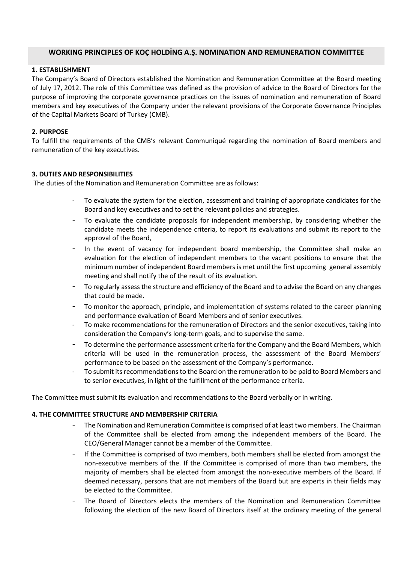# **WORKING PRINCIPLES OF KOÇ HOLDİNG A.Ş. NOMINATION AND REMUNERATION COMMITTEE**

# **1. ESTABLISHMENT**

The Company's Board of Directors established the Nomination and Remuneration Committee at the Board meeting of July 17, 2012. The role of this Committee was defined as the provision of advice to the Board of Directors for the purpose of improving the corporate governance practices on the issues of nomination and remuneration of Board members and key executives of the Company under the relevant provisions of the Corporate Governance Principles of the Capital Markets Board of Turkey (CMB).

### **2. PURPOSE**

To fulfill the requirements of the CMB's relevant Communiqué regarding the nomination of Board members and remuneration of the key executives.

### **3. DUTIES AND RESPONSIBILITIES**

The duties of the Nomination and Remuneration Committee are as follows:

- To evaluate the system for the election, assessment and training of appropriate candidates for the Board and key executives and to set the relevant policies and strategies.
- To evaluate the candidate proposals for independent membership, by considering whether the candidate meets the independence criteria, to report its evaluations and submit its report to the approval of the Board,
- In the event of vacancy for independent board membership, the Committee shall make an evaluation for the election of independent members to the vacant positions to ensure that the minimum number of independent Board members is met until the first upcoming general assembly meeting and shall notify the of the result of its evaluation.
- To regularly assess the structure and efficiency of the Board and to advise the Board on any changes that could be made.
- To monitor the approach, principle, and implementation of systems related to the career planning and performance evaluation of Board Members and of senior executives.
- To make recommendations for the remuneration of Directors and the senior executives, taking into consideration the Company's long-term goals, and to supervise the same.
- To determine the performance assessment criteria for the Company and the Board Members, which criteria will be used in the remuneration process, the assessment of the Board Members' performance to be based on the assessment of the Company's performance.
- To submit its recommendations to the Board on the remuneration to be paid to Board Members and to senior executives, in light of the fulfillment of the performance criteria.

The Committee must submit its evaluation and recommendations to the Board verbally or in writing.

#### **4. THE COMMITTEE STRUCTURE AND MEMBERSHIP CRITERIA**

- The Nomination and Remuneration Committee is comprised of at least two members. The Chairman of the Committee shall be elected from among the independent members of the Board. The CEO/General Manager cannot be a member of the Committee.
- If the Committee is comprised of two members, both members shall be elected from amongst the non-executive members of the. If the Committee is comprised of more than two members, the majority of members shall be elected from amongst the non-executive members of the Board. If deemed necessary, persons that are not members of the Board but are experts in their fields may be elected to the Committee.
- The Board of Directors elects the members of the Nomination and Remuneration Committee following the election of the new Board of Directors itself at the ordinary meeting of the general